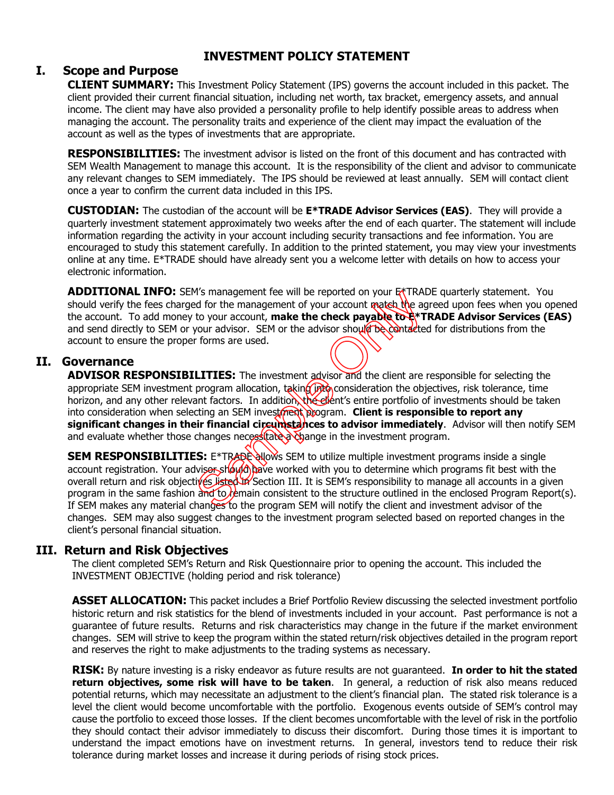# **INVESTMENT POLICY STATEMENT**

# **I. Scope and Purpose**

**CLIENT SUMMARY:** This Investment Policy Statement (IPS) governs the account included in this packet. The client provided their current financial situation, including net worth, tax bracket, emergency assets, and annual income. The client may have also provided a personality profile to help identify possible areas to address when managing the account. The personality traits and experience of the client may impact the evaluation of the account as well as the types of investments that are appropriate.

**RESPONSIBILITIES:** The investment advisor is listed on the front of this document and has contracted with SEM Wealth Management to manage this account. It is the responsibility of the client and advisor to communicate any relevant changes to SEM immediately. The IPS should be reviewed at least annually. SEM will contact client once a year to confirm the current data included in this IPS.

**CUSTODIAN:** The custodian of the account will be **E\*TRADE Advisor Services (EAS)**. They will provide a quarterly investment statement approximately two weeks after the end of each quarter. The statement will include information regarding the activity in your account including security transactions and fee information. You are encouraged to study this statement carefully. In addition to the printed statement, you may view your investments online at any time. E\*TRADE should have already sent you a welcome letter with details on how to access your electronic information.

ADDITIONAL INFO: SEM's management fee will be reported on your E<sup>\*</sup>TRADE quarterly statement. You should verify the fees charged for the management of your account match the agreed upon fees when you opened the account. To add money to your account, **make the check payable to E\*TRADE Advisor Services (EAS)** and send directly to SEM or your advisor. SEM or the advisor should be contacted for distributions from the account to ensure the proper forms are used.

### **II. Governance**

**ADVISOR RESPONSIBILITIES:** The investment advisor and the client are responsible for selecting the appropriate SEM investment program allocation, taking  $\eta$ to consideration the objectives, risk tolerance, time horizon, and any other relevant factors. In addition, the elent's entire portfolio of investments should be taken into consideration when selecting an SEM investment program. **Client is responsible to report any significant changes in their financial circumstances to advisor immediately**. Advisor will then notify SEM and evaluate whether those changes necessitate a change in the investment program. We management ree will be reported on your ET IRAL<br>and for the management of your account match the age<br>to your account, **make the check payable to E**\*T<br>your advisor. SEM or the advisor should be contracted<br>forms are used.

**SEM RESPONSIBILITIES:** E\*TRADE allows SEM to utilize multiple investment programs inside a single account registration. Your adviser should bave worked with you to determine which programs fit best with the overall return and risk objectives listed in Section III. It is SEM's responsibility to manage all accounts in a given program in the same fashion and to remain consistent to the structure outlined in the enclosed Program Report(s). If SEM makes any material changes to the program SEM will notify the client and investment advisor of the changes. SEM may also suggest changes to the investment program selected based on reported changes in the client's personal financial situation.

## **III. Return and Risk Objectives**

The client completed SEM's Return and Risk Questionnaire prior to opening the account. This included the INVESTMENT OBJECTIVE (holding period and risk tolerance)

**ASSET ALLOCATION:** This packet includes a Brief Portfolio Review discussing the selected investment portfolio historic return and risk statistics for the blend of investments included in your account. Past performance is not a guarantee of future results. Returns and risk characteristics may change in the future if the market environment changes. SEM will strive to keep the program within the stated return/risk objectives detailed in the program report and reserves the right to make adjustments to the trading systems as necessary.

**RISK:** By nature investing is a risky endeavor as future results are not guaranteed. **In order to hit the stated return objectives, some risk will have to be taken**. In general, a reduction of risk also means reduced potential returns, which may necessitate an adjustment to the client's financial plan. The stated risk tolerance is a level the client would become uncomfortable with the portfolio. Exogenous events outside of SEM's control may cause the portfolio to exceed those losses. If the client becomes uncomfortable with the level of risk in the portfolio they should contact their advisor immediately to discuss their discomfort. During those times it is important to understand the impact emotions have on investment returns. In general, investors tend to reduce their risk tolerance during market losses and increase it during periods of rising stock prices.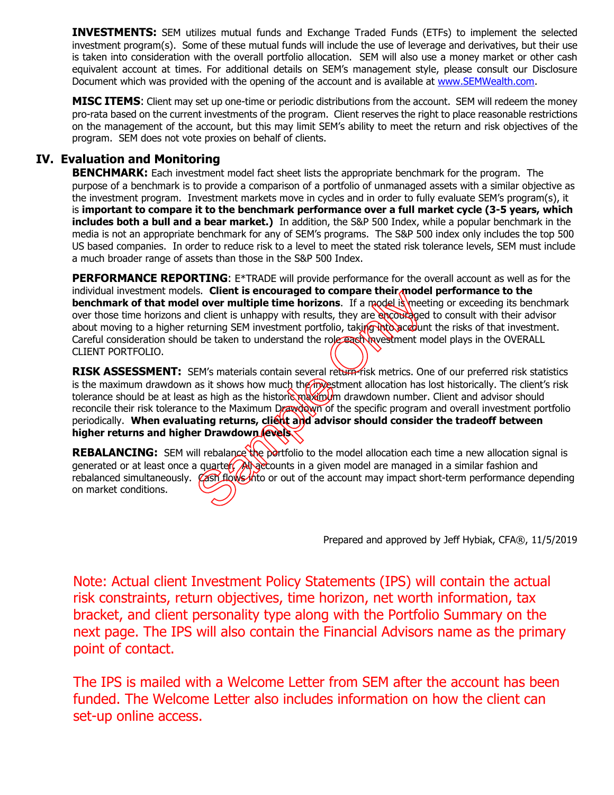**INVESTMENTS:** SEM utilizes mutual funds and Exchange Traded Funds (ETFs) to implement the selected investment program(s). Some of these mutual funds will include the use of leverage and derivatives, but their use is taken into consideration with the overall portfolio allocation. SEM will also use a money market or other cash equivalent account at times. For additional details on SEM's management style, please consult our Disclosure Document which was provided with the opening of the account and is available at www.SEMWealth.com.

**MISC ITEMS**: Client may set up one-time or periodic distributions from the account. SEM will redeem the money pro-rata based on the current investments of the program. Client reserves the right to place reasonable restrictions on the management of the account, but this may limit SEM's ability to meet the return and risk objectives of the program. SEM does not vote proxies on behalf of clients.

# **IV. Evaluation and Monitoring**

**BENCHMARK:** Each investment model fact sheet lists the appropriate benchmark for the program. The purpose of a benchmark is to provide a comparison of a portfolio of unmanaged assets with a similar objective as the investment program. Investment markets move in cycles and in order to fully evaluate SEM's program(s), it is **important to compare it to the benchmark performance over a full market cycle (3-5 years, which includes both a bull and a bear market.)** In addition, the S&P 500 Index, while a popular benchmark in the media is not an appropriate benchmark for any of SEM's programs. The S&P 500 index only includes the top 500 US based companies. In order to reduce risk to a level to meet the stated risk tolerance levels, SEM must include a much broader range of assets than those in the S&P 500 Index.

**PERFORMANCE REPORTING:** E\*TRADE will provide performance for the overall account as well as for the individual investment models. **Client is encouraged to compare their model performance to the benchmark of that model over multiple time horizons**. If a model is meeting or exceeding its benchmark over those time horizons and client is unhappy with results, they are encouraged to consult with their advisor about moving to a higher returning SEM investment portfolio, taking into account the risks of that investment. Careful consideration should be taken to understand the role each investment model plays in the OVERALL CLIENT PORTFOLIO.

**RISK ASSESSMENT:** SEM's materials contain several return-risk metrics. One of our preferred risk statistics is the maximum drawdown as it shows how much the investment allocation has lost historically. The client's risk tolerance should be at least as high as the historic maximum drawdown number. Client and advisor should reconcile their risk tolerance to the Maximum Drawdown of the specific program and overall investment portfolio periodically. When evaluating returns, client and advisor should consider the tradeoff between higher returns and higher Drawdown levels. Sample the state of the account may impact show the account of the account of the account of the account of the account of the state of the state of the maximum can be taken to understand the role can have streament means

**REBALANCING:** SEM will rebalance the portfolio to the model allocation each time a new allocation signal is generated or at least once a quarter. All accounts in a given model are managed in a similar fashion and rebalanced simultaneously. Cash flows the or out of the account may impact short-term performance depending on market conditions.

Prepared and approved by Jeff Hybiak, CFA®, 11/5/2019

Note: Actual client Investment Policy Statements (IPS) will contain the actual risk constraints, return objectives, time horizon, net worth information, tax bracket, and client personality type along with the Portfolio Summary on the next page. The IPS will also contain the Financial Advisors name as the primary point of contact.

The IPS is mailed with a Welcome Letter from SEM after the account has been funded. The Welcome Letter also includes information on how the client can set-up online access.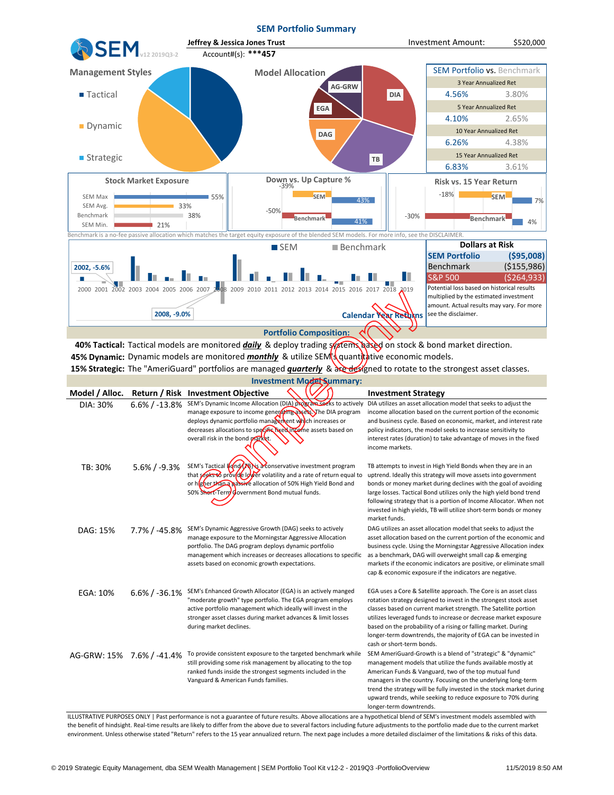

|                                                                                                                                  |                   |                                                                                                                                                                                                                                                                                                  | multiplied by the estimated investment<br>amount. Actual results may vary. For more                                                                                                                                                                                                                                                                                                                                                           |  |  |  |  |  |
|----------------------------------------------------------------------------------------------------------------------------------|-------------------|--------------------------------------------------------------------------------------------------------------------------------------------------------------------------------------------------------------------------------------------------------------------------------------------------|-----------------------------------------------------------------------------------------------------------------------------------------------------------------------------------------------------------------------------------------------------------------------------------------------------------------------------------------------------------------------------------------------------------------------------------------------|--|--|--|--|--|
|                                                                                                                                  | 2008, -9.0%       |                                                                                                                                                                                                                                                                                                  | Calendar Year Returns<br>see the disclaimer.                                                                                                                                                                                                                                                                                                                                                                                                  |  |  |  |  |  |
| <b>Portfolio Composition:</b>                                                                                                    |                   |                                                                                                                                                                                                                                                                                                  |                                                                                                                                                                                                                                                                                                                                                                                                                                               |  |  |  |  |  |
| 40% Tactical: Tactical models are monitored <i>daily</i> & deploy trading systems hased on stock & bond market direction.        |                   |                                                                                                                                                                                                                                                                                                  |                                                                                                                                                                                                                                                                                                                                                                                                                                               |  |  |  |  |  |
| 45% Dynamic: Dynamic models are monitored monthly & utilize SEM squantitative economic models.                                   |                   |                                                                                                                                                                                                                                                                                                  |                                                                                                                                                                                                                                                                                                                                                                                                                                               |  |  |  |  |  |
| 15% Strategic: The "AmeriGuard" portfolios are managed <i>quarterly</i> & and designed to rotate to the strongest asset classes. |                   |                                                                                                                                                                                                                                                                                                  |                                                                                                                                                                                                                                                                                                                                                                                                                                               |  |  |  |  |  |
| <b>Investment Model Summary:</b>                                                                                                 |                   |                                                                                                                                                                                                                                                                                                  |                                                                                                                                                                                                                                                                                                                                                                                                                                               |  |  |  |  |  |
| Model / Alloc.                                                                                                                   | Return / Risk     | <b>Investment Objective</b>                                                                                                                                                                                                                                                                      | <b>Investment Strategy</b>                                                                                                                                                                                                                                                                                                                                                                                                                    |  |  |  |  |  |
| DIA: 30%                                                                                                                         | $6.6\% / -13.8\%$ | SEM's Dynamic Income Allocation (DIA) program seeks to actively<br>manage exposure to income generating assets. The DIA program<br>deploys dynamic portfolio management which increases or<br>decreases allocations to specific fixed income assets based on<br>overall risk in the bond market. | DIA utilizes an asset allocation model that seeks to adjust the<br>income allocation based on the current portion of the economic<br>and business cycle. Based on economic, market, and interest rate<br>policy indicators, the model seeks to increase sensitivity to<br>interest rates (duration) to take advantage of moves in the fixed<br>income markets.                                                                                |  |  |  |  |  |
| TB: 30%                                                                                                                          | $5.6\% / -9.3\%$  | SEM's Tactical <b>[4nd/76]</b> Sa conservative investment program<br>that seeks to provide lower volatility and a rate of return equal to<br>or higher than a nassive allocation of 50% High Yield Bond and<br>50% Short-Term Government Bond mutual funds.                                      | TB attempts to invest in High Yield Bonds when they are in an<br>uptrend. Ideally this strategy will move assets into government<br>bonds or money market during declines with the goal of avoiding<br>large losses. Tactical Bond utilizes only the high yield bond trend<br>following strategy that is a portion of Income Allocator. When not<br>invested in high yields, TB will utilize short-term bonds or money<br>market funds.       |  |  |  |  |  |
| DAG: 15%                                                                                                                         | $7.7\%$ / -45.8%  | SEM's Dynamic Aggressive Growth (DAG) seeks to actively<br>manage exposure to the Morningstar Aggressive Allocation<br>portfolio. The DAG program deploys dynamic portfolio<br>management which increases or decreases allocations to specific<br>assets based on economic growth expectations.  | DAG utilizes an asset allocation model that seeks to adjust the<br>asset allocation based on the current portion of the economic and<br>business cycle. Using the Morningstar Aggressive Allocation index<br>as a benchmark, DAG will overweight small cap & emerging<br>markets if the economic indicators are positive, or eliminate small<br>cap & economic exposure if the indicators are negative.                                       |  |  |  |  |  |
| EGA: 10%                                                                                                                         | $6.6\% / -36.1\%$ | SEM's Enhanced Growth Allocator (EGA) is an actively manged<br>"moderate growth" type portfolio. The EGA program employs<br>active portfolio management which ideally will invest in the<br>stronger asset classes during market advances & limit losses<br>during market declines.              | EGA uses a Core & Satellite approach. The Core is an asset class<br>rotation strategy designed to invest in the strongest stock asset<br>classes based on current market strength. The Satellite portion<br>utilizes leveraged funds to increase or decrease market exposure<br>based on the probability of a rising or falling market. During<br>longer-term downtrends, the majority of EGA can be invested in<br>cash or short-term bonds. |  |  |  |  |  |
| AG-GRW: 15% 7.6% / -41.4%                                                                                                        |                   | To provide consistent exposure to the targeted benchmark while<br>still providing some risk management by allocating to the top<br>ranked funds inside the strongest segments included in the<br>Vanguard & American Funds families.                                                             | SEM AmeriGuard-Growth is a blend of "strategic" & "dynamic"<br>management models that utilize the funds available mostly at<br>American Funds & Vanguard, two of the top mutual fund<br>managers in the country. Focusing on the underlying long-term<br>trend the strategy will be fully invested in the stock market during<br>upward trends, while seeking to reduce exposure to 70% during<br>longer-term downtrends.                     |  |  |  |  |  |

ILLUSTRATIVE PURPOSES ONLY | Past performance is not a guarantee of future results. Above allocations are a hypothetical blend of SEM's investment models assembled with the benefit of hindsight. Real-time results are likely to differ from the above due to several factors including future adjustments to the portfolio made due to the current market environment. Unless otherwise stated "Return" refers to the 15 year annualized return. The next page includes a more detailed disclaimer of the limitations & risks of this data.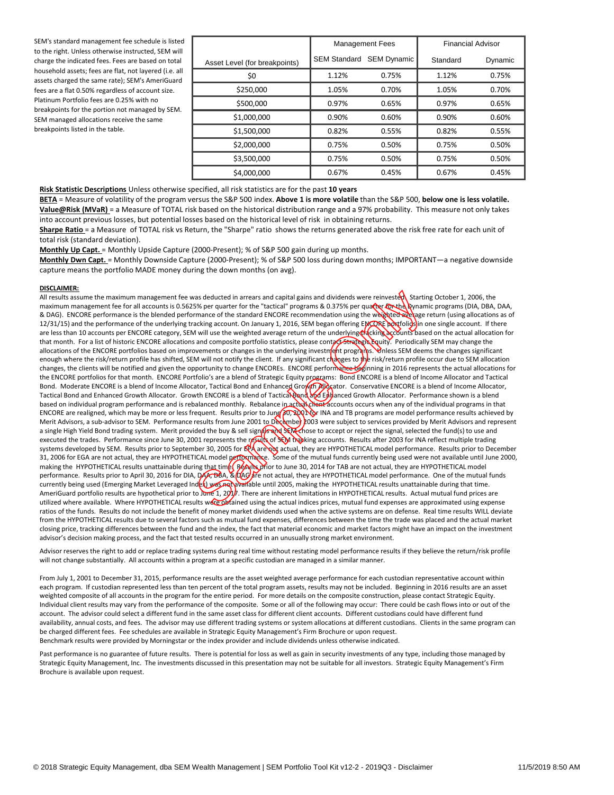SEM's standard management fee schedule is listed to the right. Unless otherwise instructed, SEM will charge the indicated fees. Fees are based on total household assets; fees are flat, not layered (i.e. all assets charged the same rate); SEM's AmeriGuard fees are a flat 0.50% regardless of account size. Platinum Portfolio fees are 0.25% with no breakpoints for the portion not managed by SEM. SEM managed allocations receive the same breakpoints listed in the table.

|                               | <b>Management Fees</b>          |       | <b>Financial Advisor</b> |         |
|-------------------------------|---------------------------------|-------|--------------------------|---------|
| Asset Level (for breakpoints) | <b>SEM Standard SEM Dynamic</b> |       | Standard                 | Dynamic |
| \$0                           | 1.12%                           | 0.75% | 1.12%                    | 0.75%   |
| \$250,000                     | 1.05%                           | 0.70% | 1.05%                    | 0.70%   |
| \$500,000                     | 0.97%                           | 0.65% | 0.97%                    | 0.65%   |
| \$1,000,000                   | 0.90%                           | 0.60% | 0.90%                    | 0.60%   |
| \$1,500,000                   | 0.82%                           | 0.55% | 0.82%                    | 0.55%   |
| \$2,000,000                   | 0.75%                           | 0.50% | 0.75%                    | 0.50%   |
| \$3,500,000                   | 0.75%                           | 0.50% | 0.75%                    | 0.50%   |
| \$4,000,000                   | 0.67%                           | 0.45% | 0.67%                    | 0.45%   |

**Risk Statistic Descriptions** Unless otherwise specified, all risk statistics are for the past **10 years**

100% **BETA** = Measure of volatility of the program versus the S&P 500 index. **Above 1 is more volatile** than the S&P 500, **below one is less volatile. Value@Risk (MVaR)** = a Measure of TOTAL risk based on the historical distribution range and a 97% probability. This measure not only takes into account previous losses, but potential losses based on the historical level of risk in obtaining returns.

30% **Sharpe Ratio** = a Measure of TOTAL risk vs Return, the "Sharpe" ratio shows the returns generated above the risk free rate for each unit of total risk (standard deviation).

**Monthly Up Capt.** = Monthly Upside Capture (2000-Present); % of S&P 500 gain during up months.

**Monthly Dwn Capt.** = Monthly Downside Capture (2000-Present); % of S&P 500 loss during down months; IMPORTANT—a negative downside capture means the portfolio MADE money during the down months (on avg).

#### **DISCLAIMER:**

All results assume the maximum management fee was deducted in arrears and capital gains and dividends were reinvesten starting October 1, 2006, the maximum management fee for all accounts is 0.5625% per quarter for the "tactical" programs & 0.375% per quarter control and accounts is 0.6625% per quarter for the "tactical" programs & 0.375% per quarter control and appro & DAG). ENCORE performance is the blended performance of the standard ENCORE recommendation using the weighted average return (using allocations as of 12/31/15) and the performance of the underlying tracking account. On January 1, 2016, SEM began offering ENCORE portfolios in one single account. If there are less than 10 accounts per ENCORE category, SEM will use the weighted average return of the underlying the change that in actual on the actual allocation for that month. For a list of historic ENCORE allocations and composite portfolio statistics, please contact Strategic Equity. Periodically SEM may change the allocations of the ENCORE portfolios based on improvements or changes in the underlying investment programs. Whless SEM deems the changes significant enough where the risk/return profile has shifted, SEM will not notify the client. If any significant changes to the risk/return profile occur due to SEM allocation changes, the clients will be notified and given the opportunity to change ENCOREs. ENCORE performance beginning in 2016 represents the actual allocations for the ENCORE portfolios for that month. ENCORE Portfolio's are a blend of Strategic Equity programs: Bond ENCORE is a blend of Income Allocator and Tactical Bond. Moderate ENCORE is a blend of Income Allocator, Tactical Bond and Enhanced Grom Mogator. Conservative ENCORE is a blend of Income Allocator, Tactical Bond and Enhanced Growth Allocator. Growth ENCORE is a blend of Tactical Bond and Englanced Growth Allocator. Performance shown is a blend based on individual program performance and is rebalanced monthly. Rebalance in actual cheat accounts occurs when any of the individual programs in that ENCORE are realigned, which may be more or less frequent. Results prior to June 30, 2001 for INA and TB programs are model performance results achieved by Merit Advisors, a sub-advisor to SEM. Performance results from June 2001 to December 2003 were subject to services provided by Merit Advisors and represent a single High Yield Bond trading system. Merit provided the buy & sell sign**als and SEM** chose to accept or reject the signal, selected the fund(s) to use and executed the trades. Performance since June 30, 2001 represents the results of SEM tracking accounts. Results after 2003 for INA reflect multiple trading systems developed by SEM. Results prior to September 30, 2005 for **ጀ<sup>0</sup>ላ are \otella actual, they are HYPOTHETICAL** model performance. Results prior to December 31, 2006 for EGA are not actual, they are HYPOTHETICAL model performance. Some of the mutual funds currently being used were not available until June 2000, making the HYPOTHETICAL results unattainable during that time (Βελιλερτίοr to June 30, 2014 for TAB are not actual, they are HYPOTHETICAL model performance. Results prior to April 30, 2016 for DIA, DAA, & DAG are not actual, they are HYPOTHETICAL model performance. One of the mutual funds currently being used (Emerging Market Leveraged Index) was not available until 2005, making the HYPOTHETICAL results unattainable during that time. AmeriGuard portfolio results are hypothetical prior to June 1, 2017. There are inherent limitations in HYPOTHETICAL results. Actual mutual fund prices are utilized where available. Where HYPOTHETICAL results were obtained using the actual indices prices, mutual fund expenses are approximated using expense ratios of the funds. Results do not include the benefit of money market dividends used when the active systems are on defense. Real time results WILL deviate from the HYPOTHETICAL results due to several factors such as mutual fund expenses, differences between the time the trade was placed and the actual market closing price, tracking differences between the fund and the index, the fact that material economic and market factors might have an impact on the investment advisor's decision making process, and the fact that tested results occurred in an unusually strong market environment. as deducted in arrears and capital gains and dividends were reinvesterent Startines (Startines and capital gains and dividends were reinvesterent SMS and a SMS and a SMS of excendentation using the weighted are accompanies

Advisor reserves the right to add or replace trading systems during real time without restating model performance results if they believe the return/risk profile will not change substantially. All accounts within a program at a specific custodian are managed in a similar manner.

From July 1, 2001 to December 31, 2015, performance results are the asset weighted average performance for each custodian representative account within each program. If custodian represented less than ten percent of the total program assets, results may not be included. Beginning in 2016 results are an asset weighted composite of all accounts in the program for the entire period. For more details on the composite construction, please contact Strategic Equity. Individual client results may vary from the performance of the composite. Some or all of the following may occur: There could be cash flows into or out of the account. The advisor could select a different fund in the same asset class for different client accounts. Different custodians could have different fund availability, annual costs, and fees. The advisor may use different trading systems or system allocations at different custodians. Clients in the same program can be charged different fees. Fee schedules are available in Strategic Equity Management's Firm Brochure or upon request. Benchmark results were provided by Morningstar or the index provider and include dividends unless otherwise indicated.

Past performance is no guarantee of future results. There is potential for loss as well as gain in security investments of any type, including those managed by Strategic Equity Management, Inc. The investments discussed in this presentation may not be suitable for all investors. Strategic Equity Management's Firm Brochure is available upon request.